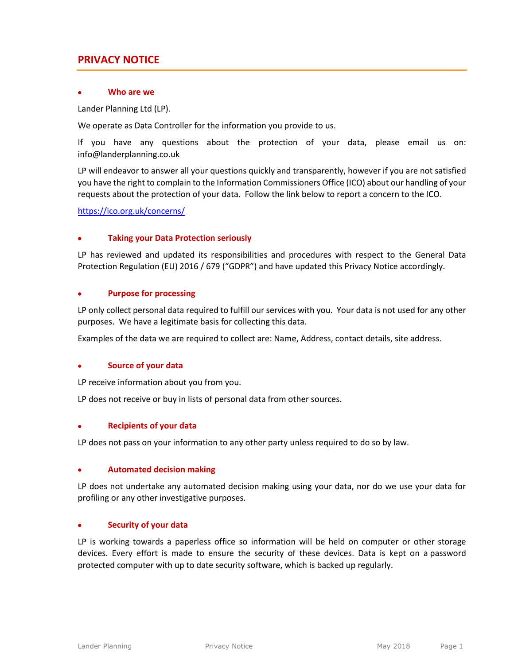# **PRIVACY NOTICE**

## **Who are we**

Lander Planning Ltd (LP).

We operate as Data Controller for the information you provide to us.

If you have any questions about the protection of your data, please email us on: info@landerplanning.co.uk

LP will endeavor to answer all your questions quickly and transparently, however if you are not satisfied you have the right to complain to the Information Commissioners Office (ICO) about our handling of your requests about the protection of your data. Follow the link below to report a concern to the ICO.

<https://ico.org.uk/concerns/>

## **Taking your Data Protection seriously**

LP has reviewed and updated its responsibilities and procedures with respect to the General Data Protection Regulation (EU) 2016 / 679 ("GDPR") and have updated this Privacy Notice accordingly.

## **Purpose for processing**

LP only collect personal data required to fulfill our services with you. Your data is not used for any other purposes. We have a legitimate basis for collecting this data.

Examples of the data we are required to collect are: Name, Address, contact details, site address.

## **Source of your data**

LP receive information about you from you.

LP does not receive or buy in lists of personal data from other sources.

#### **Recipients of your data**

LP does not pass on your information to any other party unless required to do so by law.

#### **Automated decision making**

LP does not undertake any automated decision making using your data, nor do we use your data for profiling or any other investigative purposes.

## **Security of your data**

LP is working towards a paperless office so information will be held on computer or other storage devices. Every effort is made to ensure the security of these devices. Data is kept on a password protected computer with up to date security software, which is backed up regularly.